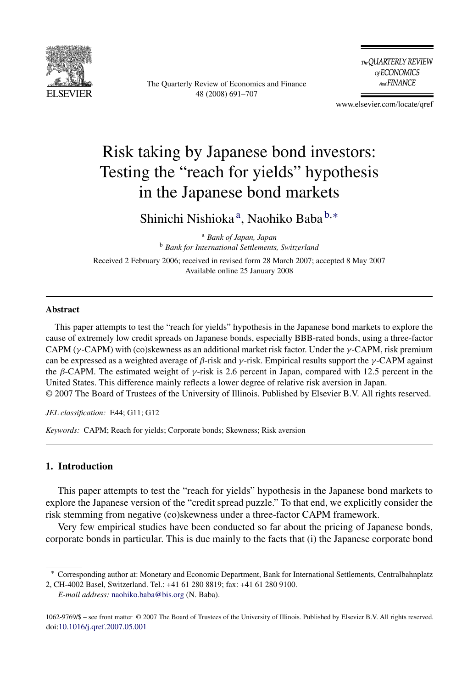

The Quarterly Review of Economics and Finance 48 (2008) 691–707

The QUARTERLY REVIEW of ECONOMICS And FINANCE

www.elsevier.com/locate/qref

## Risk taking by Japanese bond investors: Testing the "reach for yields" hypothesis in the Japanese bond markets

Shinichi Nishioka<sup>a</sup>, Naohiko Baba<sup>b,\*</sup>

<sup>a</sup> *Bank of Japan, Japan* <sup>b</sup> *Bank for International Settlements, Switzerland*

Received 2 February 2006; received in revised form 28 March 2007; accepted 8 May 2007 Available online 25 January 2008

## **Abstract**

This paper attempts to test the "reach for yields" hypothesis in the Japanese bond markets to explore the cause of extremely low credit spreads on Japanese bonds, especially BBB-rated bonds, using a three-factor CAPM (γ-CAPM) with (co)skewness as an additional market risk factor. Under the γ-CAPM, risk premium can be expressed as a weighted average of  $\beta$ -risk and  $\gamma$ -risk. Empirical results support the  $\gamma$ -CAPM against the  $\beta$ -CAPM. The estimated weight of  $\gamma$ -risk is 2.6 percent in Japan, compared with 12.5 percent in the United States. This difference mainly reflects a lower degree of relative risk aversion in Japan. © 2007 The Board of Trustees of the University of Illinois. Published by Elsevier B.V. All rights reserved.

*JEL classification:* E44; G11; G12

*Keywords:* CAPM; Reach for yields; Corporate bonds; Skewness; Risk aversion

## **1. Introduction**

This paper attempts to test the "reach for yields" hypothesis in the Japanese bond markets to explore the Japanese version of the "credit spread puzzle." To that end, we explicitly consider the risk stemming from negative (co)skewness under a three-factor CAPM framework.

Very few empirical studies have been conducted so far about the pricing of Japanese bonds, corporate bonds in particular. This is due mainly to the facts that (i) the Japanese corporate bond

*E-mail address:* [naohiko.baba@bis.org](mailto:naohiko.baba@bis.org) (N. Baba).

<sup>∗</sup> Corresponding author at: Monetary and Economic Department, Bank for International Settlements, Centralbahnplatz 2, CH-4002 Basel, Switzerland. Tel.: +41 61 280 8819; fax: +41 61 280 9100.

<sup>1062-9769/\$ –</sup> see front matter © 2007 The Board of Trustees of the University of Illinois. Published by Elsevier B.V. All rights reserved. doi[:10.1016/j.qref.2007.05.001](dx.doi.org/10.1016/j.qref.2007.05.001)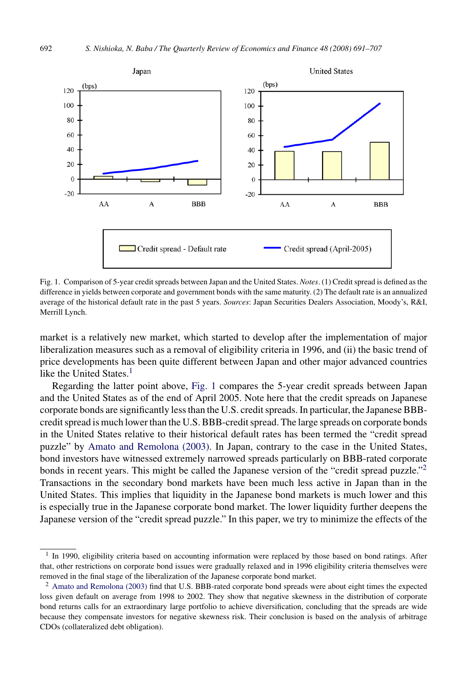

Fig. 1. Comparison of 5-year credit spreads between Japan and the United States. *Notes*. (1) Credit spread is defined as the difference in yields between corporate and government bonds with the same maturity. (2) The default rate is an annualized average of the historical default rate in the past 5 years. *Sources*: Japan Securities Dealers Association, Moody's, R&I, Merrill Lynch.

market is a relatively new market, which started to develop after the implementation of major liberalization measures such as a removal of eligibility criteria in 1996, and (ii) the basic trend of price developments has been quite different between Japan and other major advanced countries like the United States.<sup>1</sup>

Regarding the latter point above, Fig. 1 compares the 5-year credit spreads between Japan and the United States as of the end of April 2005. Note here that the credit spreads on Japanese corporate bonds are significantly less than the U.S. credit spreads. In particular, the Japanese BBBcredit spread is much lower than the U.S. BBB-credit spread. The large spreads on corporate bonds in the United States relative to their historical default rates has been termed the "credit spread puzzle" by [Amato and Remolona \(2003\).](#page--1-0) In Japan, contrary to the case in the United States, bond investors have witnessed extremely narrowed spreads particularly on BBB-rated corporate bonds in recent years. This might be called the Japanese version of the "credit spread puzzle."<sup>2</sup> Transactions in the secondary bond markets have been much less active in Japan than in the United States. This implies that liquidity in the Japanese bond markets is much lower and this is especially true in the Japanese corporate bond market. The lower liquidity further deepens the Japanese version of the "credit spread puzzle." In this paper, we try to minimize the effects of the

<sup>&</sup>lt;sup>1</sup> In 1990, eligibility criteria based on accounting information were replaced by those based on bond ratings. After that, other restrictions on corporate bond issues were gradually relaxed and in 1996 eligibility criteria themselves were removed in the final stage of the liberalization of the Japanese corporate bond market.

<sup>&</sup>lt;sup>2</sup> [Amato and Remolona \(2003\)](#page--1-0) find that U.S. BBB-rated corporate bond spreads were about eight times the expected loss given default on average from 1998 to 2002. They show that negative skewness in the distribution of corporate bond returns calls for an extraordinary large portfolio to achieve diversification, concluding that the spreads are wide because they compensate investors for negative skewness risk. Their conclusion is based on the analysis of arbitrage CDOs (collateralized debt obligation).